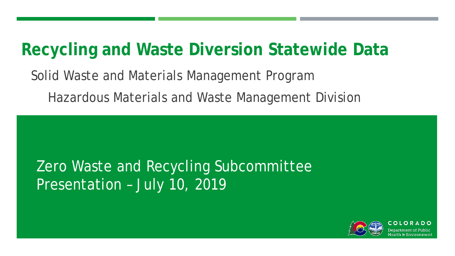# **Recycling and Waste Diversion Statewide Data**

## Solid Waste and Materials Management Program Hazardous Materials and Waste Management Division

## Zero Waste and Recycling Subcommittee Presentation – July 10, 2019

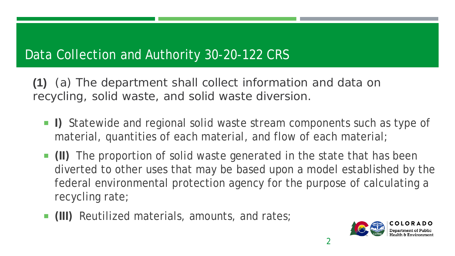### Data Collection and Authority 30-20-122 CRS

**(1)** (a) The department shall collect information and data on recycling, solid waste, and solid waste diversion.

- **I)** Statewide and regional solid waste stream components such as type of material, quantities of each material, and flow of each material;
- **(II)** The proportion of solid waste generated in the state that has been diverted to other uses that may be based upon a model established by the federal environmental protection agency for the purpose of calculating a recycling rate;
- **(III)** Reutilized materials, amounts, and rates;

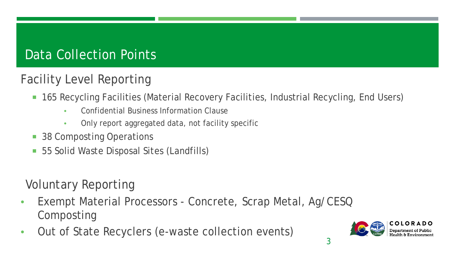### Data Collection Points

### Facility Level Reporting

- 165 Recycling Facilities (Material Recovery Facilities, Industrial Recycling, End Users)
	- Confidential Business Information Clause
	- Only report aggregated data, not facility specific
- 38 Composting Operations
- 55 Solid Waste Disposal Sites (Landfills)

Voluntary Reporting

- Exempt Material Processors Concrete, Scrap Metal, Ag/CESQ Composting
- Out of State Recyclers (e-waste collection events)

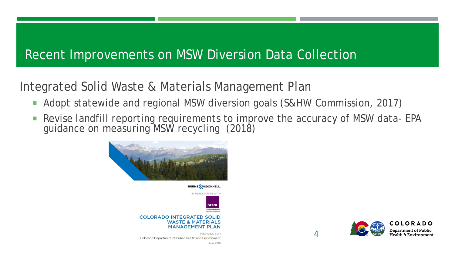### Recent Improvements on MSW Diversion Data Collection

### Integrated Solid Waste & Materials Management Plan

- Adopt statewide and regional MSW diversion goals (S&HW Commission, 2017)
- **Revise landfill reporting requirements to improve the accuracy of MSW data- EPA** guidance on measuring MSW recycling (2018)



**BURNS MEDONNELL** 

IN ASSOCIATION WITH



#### **COLORADO INTEGRATED SOLID WASTE & MATERIALS MANAGEMENT PLAN**

PREPARED FOR Colorado Department of Public Health and Environment



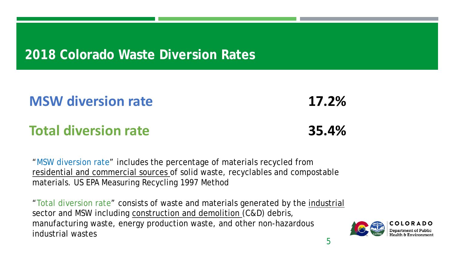### **2018 Colorado Waste Diversion Rates**

### **MSW diversion rate 17.2%**

### **Total diversion rate 35.4%**

"MSW diversion rate" includes the percentage of materials recycled from residential and commercial sources of solid waste, recyclables and compostable materials. US EPA Measuring Recycling 1997 Method

"Total diversion rate" consists of waste and materials generated by the industrial sector and MSW including construction and demolition (C&D) debris, manufacturing waste, energy production waste, and other non-hazardous industrial wastes



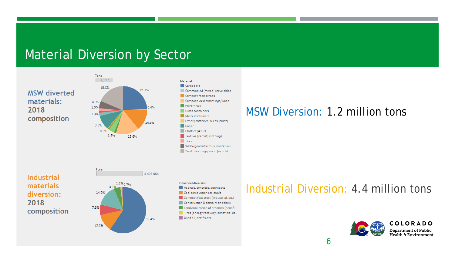### Material Diversion by Sector

Tons

### **MSW diverted** materials: 2018 composition



### Material Cardboard Commingled (mixed) recyclables Compost food scraps Compost yard trimmings/wood Electronics **Glass containers** Metal containers Other (batteries, bulbs, paint) Paper  $\blacksquare$  Plastics (#1-7) Textiles (carpet, clothing) **Tires** White goods/ferrous, nonferrou..

### Yard trimmings/wood (mulch)

### **Industrial** materials diversion: 2018 composition





### Industrial Diversion: 4.4 million tons



## MSW Diversion: 1.2 million tons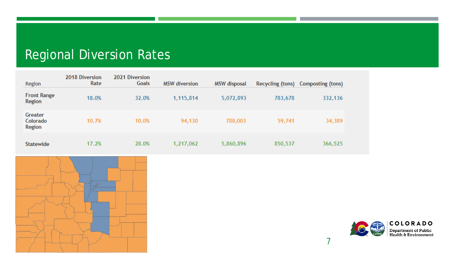### Regional Diversion Rates

| Region                        | 2018 Diversion<br>Rate | 2021 Diversion<br><b>Goals</b> | <b>MSW</b> diversion | <b>MSW</b> disposal | Recycling (tons) | Composting (tons) |
|-------------------------------|------------------------|--------------------------------|----------------------|---------------------|------------------|-------------------|
| <b>Front Range</b><br>Region  | 18.0%                  | 32.0%                          | 1,115,814            | 5,072,893           | 783,678          | 332,136           |
| Greater<br>Colorado<br>Region | 10.7%                  | 10.0%                          | 94,130               | 788,003             | 59,741           | 34,389            |
| Statewide                     | 17.2%                  | 28.0%                          | 1,217,062            | 5,860,896           | 850,537          | 366,525           |



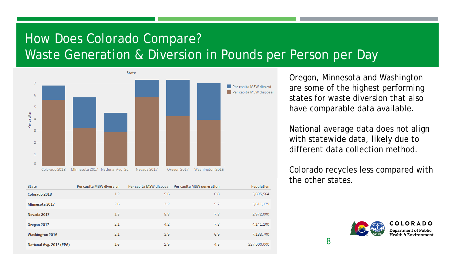### How Does Colorado Compare? Waste Generation & Diversion in Pounds per Person per Day



| State                    | Per capita MSW diversion |     | Per capita MSW disposal Per capita MSW generation | Population  |
|--------------------------|--------------------------|-----|---------------------------------------------------|-------------|
| Colorado 2018            | 1.2                      | 5.6 | 6.8                                               | 5,695,564   |
| Minnesota 2017           | 2.6                      | 3.2 | 5.7                                               | 5,611,179   |
| Nevada 2017              | 1.5                      | 5.8 | 7.3                                               | 2,972,000   |
| Oregon 2017              | 3.1                      | 4.2 | 7.3                                               | 4,141,100   |
| <b>Washington 2016</b>   | 3.1                      | 3.9 | 6.9                                               | 7,183,700   |
| National Avg. 2015 (EPA) | 1.6                      | 2.9 | 4.5                                               | 327,000,000 |

Oregon, Minnesota and Washington are some of the highest performing states for waste diversion that also have comparable data available.

National average data does not align with statewide data, likely due to different data collection method.

Colorado recycles less compared with the other states.

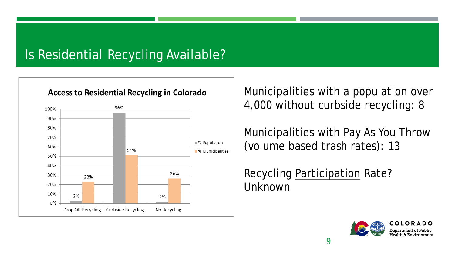### Is Residential Recycling Available?



**Access to Residential Recycling in Colorado** 

Municipalities with a population over 4,000 without curbside recycling: 8

Municipalities with Pay As You Throw (volume based trash rates): 13

Recycling Participation Rate? Unknown

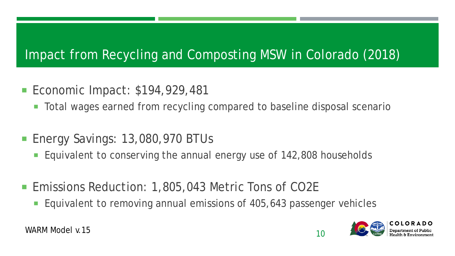### Impact from Recycling and Composting MSW in Colorado (2018)

- Economic Impact: \$194,929,481
	- Total wages earned from recycling compared to baseline disposal scenario
- Energy Savings: 13,080,970 BTUs
	- **Equivalent to conserving the annual energy use of 142,808 households**
- Emissions Reduction: 1,805,043 Metric Tons of CO2E
	- **Equivalent to removing annual emissions of 405,643 passenger vehicles**